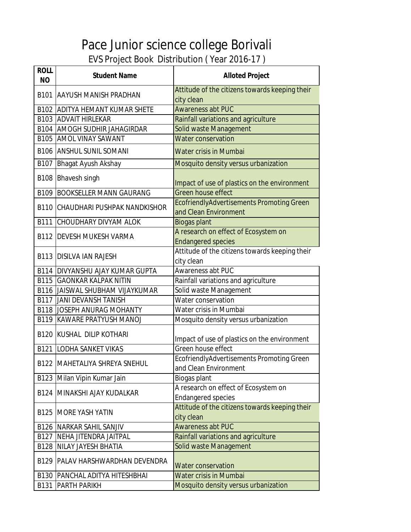| <b>ROLL</b><br><b>NO</b> | <b>Student Name</b>                      | <b>Alloted Project</b>                                                    |
|--------------------------|------------------------------------------|---------------------------------------------------------------------------|
|                          | <b>B101 AAYUSH MANISH PRADHAN</b>        | Attitude of the citizens towards keeping their<br>city clean              |
|                          | <b>B102 ADITYA HEMANT KUMAR SHETE</b>    | <b>Awareness abt PUC</b>                                                  |
|                          | <b>B103 ADVAIT HIRLEKAR</b>              | Rainfall variations and agriculture                                       |
|                          | <b>B104   AMOGH SUDHIR JAHAGIRDAR</b>    | Solid waste Management                                                    |
|                          | <b>B105 AMOL VINAY SAWANT</b>            | <b>Water conservation</b>                                                 |
|                          | <b>B106 ANSHUL SUNIL SOMANI</b>          | Water crisis in Mumbai                                                    |
| B107                     | Bhagat Ayush Akshay                      | Mosquito density versus urbanization                                      |
|                          | B108 Bhavesh singh                       | Impact of use of plastics on the environment                              |
|                          | <b>B109 BOOKSELLER MANN GAURANG</b>      | <b>Green house effect</b>                                                 |
|                          | <b>B110 CHAUDHARI PUSHPAK NANDKISHOR</b> | <b>EcofriendlyAdvertisements Promoting Green</b><br>and Clean Environment |
|                          | <b>B111 CHOUDHARY DIVYAM ALOK</b>        | <b>Biogas plant</b>                                                       |
|                          |                                          | A research on effect of Ecosystem on                                      |
|                          | <b>B112 DEVESH MUKESH VARMA</b>          | <b>Endangered species</b>                                                 |
|                          | <b>B113 DISILVA IAN RAJESH</b>           | Attitude of the citizens towards keeping their<br>city clean              |
|                          | <b>B114 DIVYANSHU AJAY KUMAR GUPTA</b>   | Awareness abt PUC                                                         |
|                          | <b>B115 GAONKAR KALPAK NITIN</b>         | Rainfall variations and agriculture                                       |
|                          | <b>B116 JAISWAL SHUBHAM VIJAYKUMAR</b>   | Solid waste Management                                                    |
|                          | <b>B117 JANI DEVANSH TANISH</b>          | Water conservation                                                        |
|                          | <b>B118 JOSEPH ANURAG MOHANTY</b>        | Water crisis in Mumbai                                                    |
|                          | <b>B119 KAWARE PRATYUSH MANOJ</b>        | Mosquito density versus urbanization                                      |
|                          | <b>B120 KUSHAL DILIP KOTHARI</b>         | Impact of use of plastics on the environment                              |
|                          | <b>B121 LODHA SANKET VIKAS</b>           | Green house effect                                                        |
|                          | <b>B122 MAHETALIYA SHREYA SNEHUL</b>     | EcofriendlyAdvertisements Promoting Green                                 |
|                          |                                          | and Clean Environment                                                     |
|                          | B123 Milan Vipin Kumar Jain              | Biogas plant                                                              |
|                          | <b>B124 MINAKSHI AJAY KUDALKAR</b>       | A research on effect of Ecosystem on<br><b>Endangered species</b>         |
|                          | <b>B125 IMORE YASH YATIN</b>             | Attitude of the citizens towards keeping their<br>city clean              |
|                          | <b>B126 NARKAR SAHIL SANJIV</b>          | <b>Awareness abt PUC</b>                                                  |
| B127                     | <b>NEHA JITENDRA JAITPAL</b>             | Rainfall variations and agriculture                                       |
|                          | <b>B128 NILAY JAYESH BHATIA</b>          | Solid waste Management                                                    |
| B129                     | <b>PALAV HARSHWARDHAN DEVENDRA</b>       | <b>Water conservation</b>                                                 |
|                          | <b>B130   PANCHAL ADITYA HITESHBHAI</b>  | Water crisis in Mumbai                                                    |
| B131                     | <b>PARTH PARIKH</b>                      | Mosquito density versus urbanization                                      |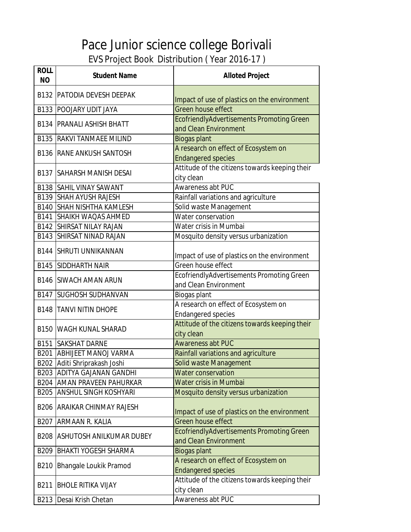| <b>ROLL</b><br><b>NO</b> | <b>Student Name</b>                | <b>Alloted Project</b>                                             |
|--------------------------|------------------------------------|--------------------------------------------------------------------|
|                          | <b>B132 PATODIA DEVESH DEEPAK</b>  | Impact of use of plastics on the environment                       |
|                          | <b>B133 POOJARY UDIT JAYA</b>      | Green house effect                                                 |
|                          | <b>B134   PRANALI ASHISH BHATT</b> | EcofriendlyAdvertisements Promoting Green<br>and Clean Environment |
|                          | <b>B135 RAKVI TANMAEE MILIND</b>   | <b>Biogas plant</b>                                                |
|                          |                                    | A research on effect of Ecosystem on                               |
|                          | <b>B136 RANE ANKUSH SANTOSH</b>    | <b>Endangered species</b>                                          |
|                          | <b>B137 ISAHARSH MANISH DESAI</b>  | Attitude of the citizens towards keeping their<br>city clean       |
|                          | <b>B138 SAHIL VINAY SAWANT</b>     | Awareness abt PUC                                                  |
|                          | <b>B139 SHAH AYUSH RAJESH</b>      | Rainfall variations and agriculture                                |
|                          | <b>B140 SHAH NISHTHA KAMLESH</b>   | Solid waste Management                                             |
|                          | <b>B141 SHAIKH WAQAS AHMED</b>     | Water conservation                                                 |
|                          | <b>B142 SHIRSAT NILAY RAJAN</b>    | Water crisis in Mumbai                                             |
|                          | <b>B143 SHIRSAT NINAD RAJAN</b>    | Mosquito density versus urbanization                               |
|                          | <b>B144 SHRUTI UNNIKANNAN</b>      | Impact of use of plastics on the environment                       |
|                          | <b>B145 SIDDHARTH NAIR</b>         | Green house effect                                                 |
|                          | <b>B146 SIWACH AMAN ARUN</b>       | EcofriendlyAdvertisements Promoting Green<br>and Clean Environment |
| B147                     | <b>SUGHOSH SUDHANVAN</b>           | Biogas plant                                                       |
|                          |                                    | A research on effect of Ecosystem on                               |
| B148                     | <b>TANVI NITIN DHOPE</b>           | <b>Endangered species</b>                                          |
|                          | <b>B150 WAGH KUNAL SHARAD</b>      | Attitude of the citizens towards keeping their<br>city clean       |
| B151                     | <b>SAKSHAT DARNE</b>               | <b>Awareness abt PUC</b>                                           |
|                          | <b>B201 ABHIJEET MANOJ VARMA</b>   | Rainfall variations and agriculture                                |
|                          | B202 Aditi Shriprakash Joshi       | Solid waste Management                                             |
|                          | <b>B203 ADITYA GAJANAN GANDHI</b>  | <b>Water conservation</b>                                          |
|                          | <b>B204 AMAN PRAVEEN PAHURKAR</b>  | <b>Water crisis in Mumbai</b>                                      |
|                          | <b>B205 ANSHUL SINGH KOSHYARI</b>  | Mosquito density versus urbanization                               |
| B206                     | <b>ARAIKAR CHINMAY RAJESH</b>      | Impact of use of plastics on the environment                       |
| B207                     | ARMAAN R. KALIA                    | Green house effect                                                 |
| <b>B208</b>              | <b>ASHUTOSH ANILKUMAR DUBEY</b>    | EcofriendlyAdvertisements Promoting Green<br>and Clean Environment |
| B209                     | <b>BHAKTI YOGESH SHARMA</b>        | <b>Biogas plant</b>                                                |
| B210                     | <b>Bhangale Loukik Pramod</b>      | A research on effect of Ecosystem on<br><b>Endangered species</b>  |
| B211                     | <b>BHOLE RITIKA VIJAY</b>          | Attitude of the citizens towards keeping their<br>city clean       |
| B213                     | Desai Krish Chetan                 | Awareness abt PUC                                                  |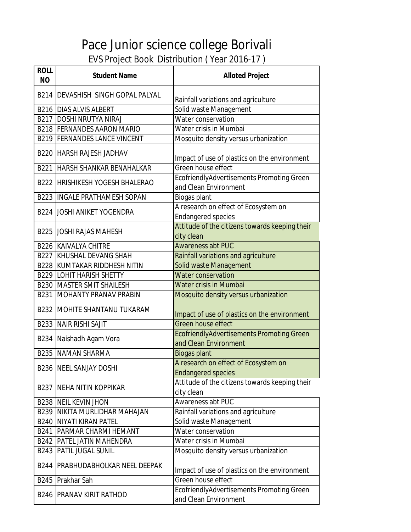| <b>ROLL</b><br><b>NO</b> | <b>Student Name</b>                    | <b>Alloted Project</b>                                             |
|--------------------------|----------------------------------------|--------------------------------------------------------------------|
|                          | B214   DEVASHISH SINGH GOPAL PALYAL    | Rainfall variations and agriculture                                |
|                          | <b>B216 DIAS ALVIS ALBERT</b>          | Solid waste Management                                             |
|                          | <b>B217 DOSHI NRUTYA NIRAJ</b>         | Water conservation                                                 |
|                          | <b>B218 FERNANDES AARON MARIO</b>      | Water crisis in Mumbai                                             |
|                          | <b>B219 FERNANDES LANCE VINCENT</b>    | Mosquito density versus urbanization                               |
|                          | <b>B220 HARSH RAJESH JADHAV</b>        | Impact of use of plastics on the environment                       |
|                          | B221 HARSH SHANKAR BENAHALKAR          | Green house effect                                                 |
|                          | <b>B222 HRISHIKESH YOGESH BHALERAO</b> | EcofriendlyAdvertisements Promoting Green<br>and Clean Environment |
|                          | <b>B223 IINGALE PRATHAMESH SOPAN</b>   | Biogas plant                                                       |
|                          | <b>B224 JOSHI ANIKET YOGENDRA</b>      | A research on effect of Ecosystem on<br><b>Endangered species</b>  |
|                          | <b>B225 JJOSHI RAJAS MAHESH</b>        | Attitude of the citizens towards keeping their<br>city clean       |
|                          | <b>B226 KAIVALYA CHITRE</b>            | <b>Awareness abt PUC</b>                                           |
|                          | <b>B227 KHUSHAL DEVANG SHAH</b>        | Rainfall variations and agriculture                                |
|                          | <b>B228 KUMTAKAR RIDDHESH NITIN</b>    | Solid waste Management                                             |
|                          | <b>B229 LOHIT HARISH SHETTY</b>        | <b>Water conservation</b>                                          |
|                          | <b>B230 MASTER SMIT SHAILESH</b>       | Water crisis in Mumbai                                             |
| B231                     | MOHANTY PRANAV PRABIN                  | Mosquito density versus urbanization                               |
|                          | <b>B232 MOHITE SHANTANU TUKARAM</b>    | Impact of use of plastics on the environment                       |
| B233                     | <b>NAIR RISHI SAJIT</b>                | Green house effect                                                 |
|                          | B234 Naishadh Agam Vora                | EcofriendlyAdvertisements Promoting Green<br>and Clean Environment |
|                          | <b>B235 NAMAN SHARMA</b>               | <b>Biogas plant</b>                                                |
|                          | <b>B236 NEEL SANJAY DOSHI</b>          | A research on effect of Ecosystem on<br><b>Endangered species</b>  |
|                          | <b>B237 NEHA NITIN KOPPIKAR</b>        | Attitude of the citizens towards keeping their<br>city clean       |
|                          | <b>B238 NEIL KEVIN JHON</b>            | <b>Awareness abt PUC</b>                                           |
|                          | <b>B239 NIKITA MURLIDHAR MAHAJAN</b>   | Rainfall variations and agriculture                                |
|                          | <b>B240 NIYATI KIRAN PATEL</b>         | Solid waste Management                                             |
|                          | <b>B241   PARMAR CHARMI HEMANT</b>     | Water conservation                                                 |
|                          | <b>B242   PATEL JATIN MAHENDRA</b>     | Water crisis in Mumbai                                             |
| B243                     | <b>PATIL JUGAL SUNIL</b>               | Mosquito density versus urbanization                               |
| B244                     | <b>PRABHUDABHOLKAR NEEL DEEPAK</b>     | Impact of use of plastics on the environment                       |
| B245                     | Prakhar Sah                            | Green house effect                                                 |
| B246                     | <b>PRANAV KIRIT RATHOD</b>             | EcofriendlyAdvertisements Promoting Green<br>and Clean Environment |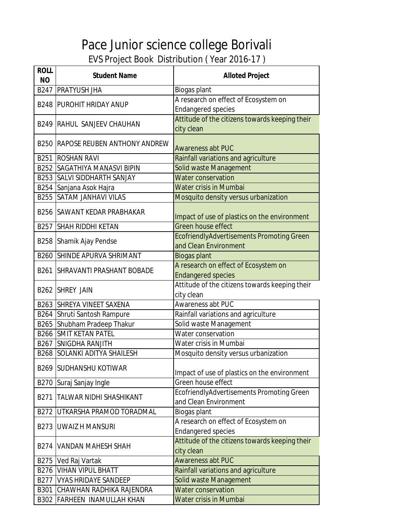| <b>ROLL</b><br><b>NO</b> | <b>Student Name</b>                      | <b>Alloted Project</b>                                                    |
|--------------------------|------------------------------------------|---------------------------------------------------------------------------|
|                          | <b>B247 PRATYUSH JHA</b>                 | Biogas plant                                                              |
|                          | <b>B248 PUROHIT HRIDAY ANUP</b>          | A research on effect of Ecosystem on<br><b>Endangered species</b>         |
|                          | <b>B249 RAHUL SANJEEV CHAUHAN</b>        | Attitude of the citizens towards keeping their<br>city clean              |
|                          | <b>B250 RAPOSE REUBEN ANTHONY ANDREW</b> | <b>Awareness abt PUC</b>                                                  |
|                          | <b>B251 ROSHAN RAVI</b>                  | Rainfall variations and agriculture                                       |
|                          | <b>B252 SAGATHIYA MANASVI BIPIN</b>      | Solid waste Management                                                    |
|                          | B253 SALVI SIDDHARTH SANJAY              | <b>Water conservation</b>                                                 |
|                          | B254 Sanjana Asok Hajra                  | <b>Water crisis in Mumbai</b>                                             |
|                          | <b>B255 SATAM JANHAVI VILAS</b>          | Mosquito density versus urbanization                                      |
|                          | <b>B256 SAWANT KEDAR PRABHAKAR</b>       | Impact of use of plastics on the environment                              |
|                          | <b>B257 SHAH RIDDHI KETAN</b>            | Green house effect                                                        |
|                          | B258 Shamik Ajay Pendse                  | <b>EcofriendlyAdvertisements Promoting Green</b><br>and Clean Environment |
|                          | <b>B260 SHINDE APURVA SHRIMANT</b>       | <b>Biogas plant</b>                                                       |
|                          | <b>B261   SHRAVANTI PRASHANT BOBADE</b>  | A research on effect of Ecosystem on<br><b>Endangered species</b>         |
|                          | B262 SHREY JAIN                          | Attitude of the citizens towards keeping their<br>city clean              |
|                          | <b>B263 SHREYA VINEET SAXENA</b>         | Awareness abt PUC                                                         |
|                          | B264 Shruti Santosh Rampure              | Rainfall variations and agriculture                                       |
|                          | B265 Shubham Pradeep Thakur              | Solid waste Management                                                    |
|                          | <b>B266 SMIT KETAN PATEL</b>             | Water conservation                                                        |
|                          | <b>B267 SNIGDHA RANJITH</b>              | Water crisis in Mumbai                                                    |
|                          | <b>B268 SOLANKI ADITYA SHAILESH</b>      | Mosquito density versus urbanization                                      |
|                          | <b>B269 SUDHANSHU KOTIWAR</b>            | Impact of use of plastics on the environment                              |
|                          | B270 Suraj Sanjay Ingle                  | Green house effect                                                        |
| B271                     | <b>TALWAR NIDHI SHASHIKANT</b>           | EcofriendlyAdvertisements Promoting Green<br>and Clean Environment        |
| B272                     | UTKARSHA PRAMOD TORADMAL                 | <b>Biogas plant</b>                                                       |
| B273                     | <b>UWAIZ H MANSURI</b>                   | A research on effect of Ecosystem on<br><b>Endangered species</b>         |
|                          | <b>B274   VANDAN MAHESH SHAH</b>         | Attitude of the citizens towards keeping their<br>city clean              |
|                          | B275 Ved Raj Vartak                      | <b>Awareness abt PUC</b>                                                  |
|                          | <b>B276 VIHAN VIPUL BHATT</b>            | Rainfall variations and agriculture                                       |
|                          | <b>B277 VYAS HRIDAYE SANDEEP</b>         | Solid waste Management                                                    |
|                          | <b>B301 CHAWHAN RADHIKA RAJENDRA</b>     | <b>Water conservation</b>                                                 |
|                          | B302 FARHEEN INAMULLAH KHAN              | Water crisis in Mumbai                                                    |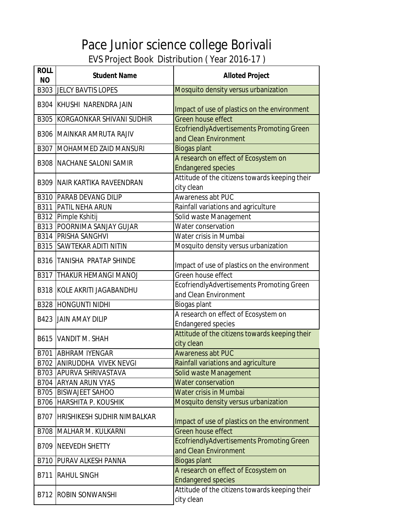| <b>ROLL</b><br><b>NO</b> | <b>Student Name</b>                   | <b>Alloted Project</b>                                                    |
|--------------------------|---------------------------------------|---------------------------------------------------------------------------|
|                          | <b>B303 JELCY BAVTIS LOPES</b>        | Mosquito density versus urbanization                                      |
|                          | B304 KHUSHI NARENDRA JAIN             | Impact of use of plastics on the environment                              |
|                          | <b>B305 KORGAONKAR SHIVANI SUDHIR</b> | Green house effect                                                        |
|                          | <b>B306 MAINKAR AMRUTA RAJIV</b>      | <b>EcofriendlyAdvertisements Promoting Green</b><br>and Clean Environment |
| B307                     | MOHAMMED ZAID MANSURI                 | <b>Biogas plant</b>                                                       |
|                          | <b>B308 INACHANE SALONI SAMIR</b>     | A research on effect of Ecosystem on<br><b>Endangered species</b>         |
|                          | <b>B309 NAIR KARTIKA RAVEENDRAN</b>   | Attitude of the citizens towards keeping their<br>city clean              |
|                          | <b>B310 PARAB DEVANG DILIP</b>        | Awareness abt PUC                                                         |
|                          | <b>B311 PATIL NEHA ARUN</b>           | Rainfall variations and agriculture                                       |
|                          | B312 Pimple Kshitij                   | Solid waste Management                                                    |
|                          | <b>B313 POORNIMA SANJAY GUJAR</b>     | Water conservation                                                        |
|                          | <b>B314 PRISHA SANGHVI</b>            | Water crisis in Mumbai                                                    |
|                          | <b>B315 SAWTEKAR ADITI NITIN</b>      | Mosquito density versus urbanization                                      |
|                          | <b>B316 TANISHA PRATAP SHINDE</b>     | Impact of use of plastics on the environment                              |
| B317                     | <b>THAKUR HEMANGI MANOJ</b>           | Green house effect                                                        |
|                          | <b>B318 KOLE AKRITI JAGABANDHU</b>    | EcofriendlyAdvertisements Promoting Green                                 |
|                          |                                       | and Clean Environment                                                     |
|                          | <b>B328 HONGUNTI NIDHI</b>            | Biogas plant                                                              |
|                          | <b>B423 JAIN AMAY DILIP</b>           | A research on effect of Ecosystem on<br><b>Endangered species</b>         |
|                          | B615 VANDIT M. SHAH                   | Attitude of the citizens towards keeping their<br>city clean              |
|                          | <b>B701 ABHRAM IYENGAR</b>            | <b>Awareness abt PUC</b>                                                  |
|                          | B702 ANIRUDDHA VIVEK NEVGI            | Rainfall variations and agriculture                                       |
|                          | <b>B703 APURVA SHRIVASTAVA</b>        | Solid waste Management                                                    |
|                          | <b>B704 ARYAN ARUN VYAS</b>           | <b>Water conservation</b>                                                 |
|                          | <b>B705 BISWAJEET SAHOO</b>           | Water crisis in Mumbai                                                    |
|                          | <b>B706 HARSHITA P. KOUSHIK</b>       | Mosquito density versus urbanization                                      |
| B707                     | <b>HRISHIKESH SUDHIR NIMBALKAR</b>    | Impact of use of plastics on the environment                              |
|                          | <b>B708 MALHAR M. KULKARNI</b>        | Green house effect                                                        |
|                          | <b>B709 NEEVEDH SHETTY</b>            | EcofriendlyAdvertisements Promoting Green<br>and Clean Environment        |
| B710                     | <b>PURAV ALKESH PANNA</b>             | <b>Biogas plant</b>                                                       |
| B711                     | <b>RAHUL SINGH</b>                    | A research on effect of Ecosystem on<br><b>Endangered species</b>         |
|                          | <b>B712 ROBIN SONWANSHI</b>           | Attitude of the citizens towards keeping their<br>city clean              |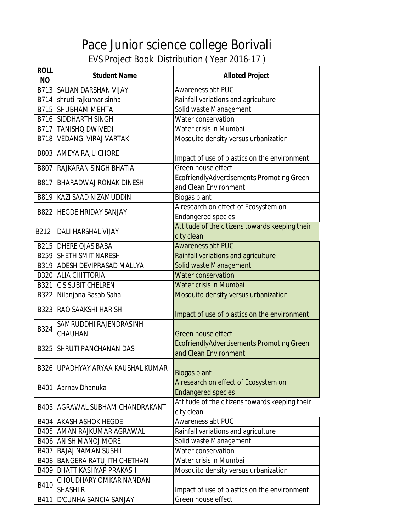| <b>ROLL</b><br><b>NO</b> | <b>Student Name</b>                              | <b>Alloted Project</b>                                             |
|--------------------------|--------------------------------------------------|--------------------------------------------------------------------|
|                          | <b>B713 SALIAN DARSHAN VIJAY</b>                 | Awareness abt PUC                                                  |
|                          | B714 shruti rajkumar sinha                       | Rainfall variations and agriculture                                |
|                          | <b>B715 SHUBHAM MEHTA</b>                        | Solid waste Management                                             |
|                          | <b>B716 SIDDHARTH SINGH</b>                      | Water conservation                                                 |
|                          | <b>B717 TANISHO DWIVEDI</b>                      | Water crisis in Mumbai                                             |
|                          | <b>B718   VEDANG VIRAJ VARTAK</b>                | Mosquito density versus urbanization                               |
|                          |                                                  |                                                                    |
|                          | <b>B803 AMEYA RAJU CHORE</b>                     | Impact of use of plastics on the environment                       |
|                          | <b>B807 RAJKARAN SINGH BHATIA</b>                | Green house effect                                                 |
|                          | <b>B817 BHARADWAJ RONAK DINESH</b>               | EcofriendlyAdvertisements Promoting Green<br>and Clean Environment |
|                          | B819 KAZI SAAD NIZAMUDDIN                        | Biogas plant                                                       |
|                          | <b>B822 HEGDE HRIDAY SANJAY</b>                  | A research on effect of Ecosystem on                               |
|                          |                                                  | <b>Endangered species</b>                                          |
| B212                     | DALI HARSHAL VIJAY                               | Attitude of the citizens towards keeping their                     |
|                          |                                                  | city clean                                                         |
|                          | <b>B215 DHERE OJAS BABA</b>                      | <b>Awareness abt PUC</b>                                           |
|                          | <b>B259 SHETH SMIT NARESH</b>                    | Rainfall variations and agriculture                                |
|                          | <b>B319 ADESH DEVIPRASAD MALLYA</b>              | Solid waste Management                                             |
|                          | <b>B320 ALIA CHITTORIA</b>                       | Water conservation                                                 |
| B321                     | <b>C S SUBIT CHELREN</b>                         | Water crisis in Mumbai                                             |
|                          | B322 Nilanjana Basab Saha                        | Mosquito density versus urbanization                               |
|                          | <b>B323 RAO SAAKSHI HARISH</b>                   | Impact of use of plastics on the environment                       |
| B324                     | SAMRUDDHI RAJENDRASINH<br>CHAUHAN                | Green house effect                                                 |
|                          |                                                  | EcofriendlyAdvertisements Promoting Green                          |
|                          | <b>B325 ISHRUTI PANCHANAN DAS</b>                | and Clean Environment                                              |
|                          | B326 UPADHYAY ARYAA KAUSHAL KUMAR                | <b>Biogas plant</b>                                                |
|                          | B401 Aarnav Dhanuka                              | A research on effect of Ecosystem on<br><b>Endangered species</b>  |
|                          | <b>B403 AGRAWAL SUBHAM CHANDRAKANT</b>           | Attitude of the citizens towards keeping their<br>city clean       |
|                          | <b>B404 AKASH ASHOK HEGDE</b>                    | Awareness abt PUC                                                  |
|                          | <b>B405 AMAN RAJKUMAR AGRAWAL</b>                | Rainfall variations and agriculture                                |
|                          | <b>B406 ANISH MANOJ MORE</b>                     | Solid waste Management                                             |
|                          | <b>B407 BAJAJ NAMAN SUSHIL</b>                   | Water conservation                                                 |
|                          | <b>B408 BANGERA RATUJITH CHETHAN</b>             | Water crisis in Mumbai                                             |
|                          | <b>B409 BHATT KASHYAP PRAKASH</b>                | Mosquito density versus urbanization                               |
| B410                     | <b>CHOUDHARY OMKAR NANDAN</b><br><b>SHASHI R</b> | Impact of use of plastics on the environment                       |
| B411                     | D'CUNHA SANCIA SANJAY                            | Green house effect                                                 |
|                          |                                                  |                                                                    |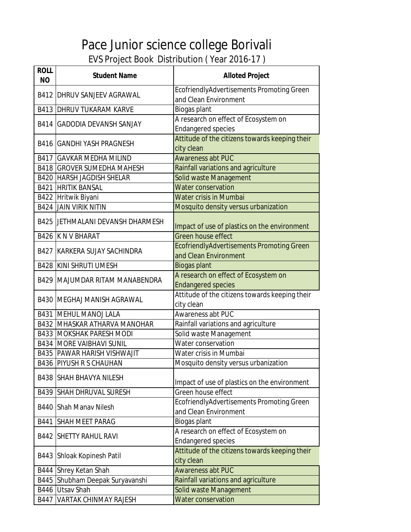| <b>ROLL</b><br><b>NO</b> | <b>Student Name</b>                     | <b>Alloted Project</b>                                             |
|--------------------------|-----------------------------------------|--------------------------------------------------------------------|
|                          | <b>B412 DHRUV SANJEEV AGRAWAL</b>       | EcofriendlyAdvertisements Promoting Green<br>and Clean Environment |
|                          | <b>B413 DHRUV TUKARAM KARVE</b>         | Biogas plant                                                       |
|                          |                                         | A research on effect of Ecosystem on                               |
|                          | <b>B414 GADODIA DEVANSH SANJAY</b>      | <b>Endangered species</b>                                          |
|                          | <b>B416 GANDHI YASH PRAGNESH</b>        | Attitude of the citizens towards keeping their<br>city clean       |
|                          | <b>B417 GAVKAR MEDHA MILIND</b>         | <b>Awareness abt PUC</b>                                           |
|                          | <b>B418 GROVER SUMEDHA MAHESH</b>       | Rainfall variations and agriculture                                |
|                          | <b>B420 HARSH JAGDISH SHELAR</b>        | Solid waste Management                                             |
|                          | <b>B421 HRITIK BANSAL</b>               | <b>Water conservation</b>                                          |
|                          | B422 Hritwik Biyani                     | <b>Water crisis in Mumbai</b>                                      |
|                          | <b>B424 JAIN VIRIK NITIN</b>            | Mosquito density versus urbanization                               |
|                          | <b>B425 JETHMALANI DEVANSH DHARMESH</b> | Impact of use of plastics on the environment                       |
|                          | <b>B426 K N V BHARAT</b>                | Green house effect                                                 |
|                          | <b>B427 KARKERA SUJAY SACHINDRA</b>     | EcofriendlyAdvertisements Promoting Green<br>and Clean Environment |
|                          | <b>B428 KINI SHRUTI UMESH</b>           | <b>Biogas plant</b>                                                |
|                          | <b>B429 MAJUMDAR RITAM MANABENDRA</b>   | A research on effect of Ecosystem on<br><b>Endangered species</b>  |
|                          | <b>B430 MEGHAJ MANISH AGRAWAL</b>       | Attitude of the citizens towards keeping their<br>city clean       |
|                          | <b>B431 MEHUL MANOJ LALA</b>            | Awareness abt PUC                                                  |
|                          | <b>B432 MHASKAR ATHARVA MANOHAR</b>     | Rainfall variations and agriculture                                |
|                          | <b>B433 MOKSHAK PARESH MODI</b>         | Solid waste Management                                             |
|                          | <b>B434 MORE VAIBHAVI SUNIL</b>         | Water conservation                                                 |
|                          | <b>B435 PAWAR HARISH VISHWAJIT</b>      | Water crisis in Mumbai                                             |
|                          | <b>B436 PIYUSH R S CHAUHAN</b>          | Mosquito density versus urbanization                               |
|                          | <b>B438 SHAH BHAVYA NILESH</b>          | Impact of use of plastics on the environment                       |
| B439                     | <b>SHAH DHRUVAL SURESH</b>              | Green house effect                                                 |
|                          | <b>B440 Shah Manay Nilesh</b>           | EcofriendlyAdvertisements Promoting Green<br>and Clean Environment |
| B441                     | SHAH MEET PARAG                         | Biogas plant                                                       |
|                          |                                         | A research on effect of Ecosystem on                               |
|                          | <b>B442 SHETTY RAHUL RAVI</b>           | <b>Endangered species</b>                                          |
| B443                     | Shloak Kopinesh Patil                   | Attitude of the citizens towards keeping their<br>city clean       |
|                          | B444 Shrey Ketan Shah                   | <b>Awareness abt PUC</b>                                           |
|                          | B445 Shubham Deepak Suryavanshi         | Rainfall variations and agriculture                                |
|                          | B446 Utsav Shah                         | Solid waste Management                                             |
|                          | <b>B447 VARTAK CHINMAY RAJESH</b>       | <b>Water conservation</b>                                          |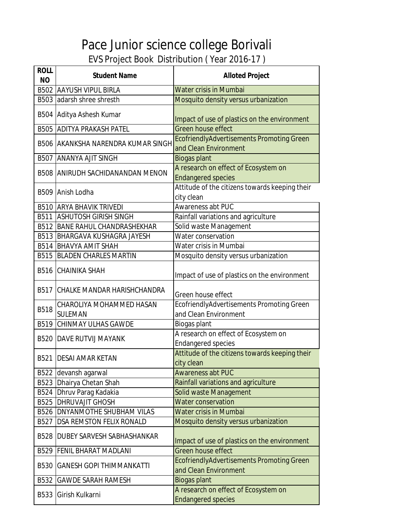| <b>ROLL</b><br><b>NO</b> | <b>Student Name</b>                     | <b>Alloted Project</b>                                                    |
|--------------------------|-----------------------------------------|---------------------------------------------------------------------------|
|                          | <b>B502 AAYUSH VIPUL BIRLA</b>          | Water crisis in Mumbai                                                    |
|                          | B503 adarsh shree shresth               | Mosquito density versus urbanization                                      |
|                          | B504 Aditya Ashesh Kumar                | Impact of use of plastics on the environment                              |
|                          | <b>B505 ADITYA PRAKASH PATEL</b>        | <b>Green house effect</b>                                                 |
|                          | B506 AKANKSHA NARENDRA KUMAR SINGH      | <b>EcofriendlyAdvertisements Promoting Green</b><br>and Clean Environment |
|                          | <b>B507 ANANYA AJIT SINGH</b>           | <b>Biogas plant</b>                                                       |
|                          | <b>B508 ANIRUDH SACHIDANANDAN MENON</b> | A research on effect of Ecosystem on<br><b>Endangered species</b>         |
|                          | B509 Anish Lodha                        | Attitude of the citizens towards keeping their<br>city clean              |
|                          | <b>B510 ARYA BHAVIK TRIVEDI</b>         | <b>Awareness abt PUC</b>                                                  |
| B511                     | <b>ASHUTOSH GIRISH SINGH</b>            | Rainfall variations and agriculture                                       |
|                          | <b>B512 BANE RAHUL CHANDRASHEKHAR</b>   | Solid waste Management                                                    |
|                          | <b>B513 BHARGAVA KUSHAGRA JAYESH</b>    | Water conservation                                                        |
|                          | <b>B514 BHAVYA AMIT SHAH</b>            | Water crisis in Mumbai                                                    |
|                          | <b>B515 BLADEN CHARLES MARTIN</b>       | Mosquito density versus urbanization                                      |
|                          | <b>B516 CHAINIKA SHAH</b>               | Impact of use of plastics on the environment                              |
|                          | <b>B517 CHALKE MANDAR HARISHCHANDRA</b> | Green house effect                                                        |
| <b>B518</b>              | CHAROLIYA MOHAMMED HASAN                | EcofriendlyAdvertisements Promoting Green                                 |
|                          | <b>SULEMAN</b>                          | and Clean Environment                                                     |
|                          | <b>B519 CHINMAY ULHAS GAWDE</b>         | Biogas plant                                                              |
|                          | <b>B520 DAVE RUTVIJ MAYANK</b>          | A research on effect of Ecosystem on<br><b>Endangered species</b>         |
| B521                     | <b>DESAI AMAR KETAN</b>                 | Attitude of the citizens towards keeping their<br>city clean              |
|                          | B522 devansh agarwal                    | <b>Awareness abt PUC</b>                                                  |
|                          | B523 Dhairya Chetan Shah                | Rainfall variations and agriculture                                       |
|                          | B524 Dhruv Parag Kadakia                | Solid waste Management                                                    |
|                          | <b>B525 DHRUVAJIT GHOSH</b>             | <b>Water conservation</b>                                                 |
|                          | <b>B526 DNYANMOTHE SHUBHAM VILAS</b>    | Water crisis in Mumbai                                                    |
| B527                     | <b>DSA REMSTON FELIX RONALD</b>         | Mosquito density versus urbanization                                      |
| <b>B528</b>              | <b>DUBEY SARVESH SABHASHANKAR</b>       | Impact of use of plastics on the environment                              |
| B529                     | <b>FENIL BHARAT MADLANI</b>             | Green house effect                                                        |
|                          | <b>B530 GANESH GOPI THIMMANKATTI</b>    | <b>EcofriendlyAdvertisements Promoting Green</b><br>and Clean Environment |
| B532                     | <b>GAWDE SARAH RAMESH</b>               | <b>Biogas plant</b>                                                       |
| B533                     | Girish Kulkarni                         | A research on effect of Ecosystem on<br><b>Endangered species</b>         |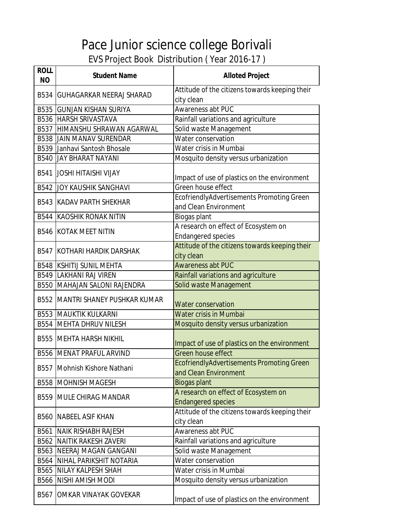| <b>ROLL</b><br><b>NO</b> | <b>Student Name</b>                     | <b>Alloted Project</b>                                                    |
|--------------------------|-----------------------------------------|---------------------------------------------------------------------------|
|                          | <b>B534 GUHAGARKAR NEERAJ SHARAD</b>    | Attitude of the citizens towards keeping their                            |
|                          | <b>B535 GUNJAN KISHAN SURIYA</b>        | city clean<br>Awareness abt PUC                                           |
|                          |                                         |                                                                           |
|                          | <b>B536 HARSH SRIVASTAVA</b>            | Rainfall variations and agriculture                                       |
|                          | B537   HIMANSHU SHRAWAN AGARWAL         | Solid waste Management<br>Water conservation                              |
|                          | <b>B538 JAIN MANAV SURENDAR</b>         |                                                                           |
|                          | B539 Janhavi Santosh Bhosale            | Water crisis in Mumbai                                                    |
|                          | <b>B540 JAY BHARAT NAYANI</b>           | Mosquito density versus urbanization                                      |
|                          | <b>B541 JOSHI HITAISHI VIJAY</b>        | Impact of use of plastics on the environment                              |
|                          | <b>B542 JOY KAUSHIK SANGHAVI</b>        | Green house effect                                                        |
|                          | <b>B543 KADAV PARTH SHEKHAR</b>         | EcofriendlyAdvertisements Promoting Green<br>and Clean Environment        |
|                          | <b>B544 KAOSHIK RONAK NITIN</b>         | Biogas plant                                                              |
|                          |                                         | A research on effect of Ecosystem on                                      |
|                          | <b>B546 KOTAK MEET NITIN</b>            | <b>Endangered species</b>                                                 |
|                          | <b>B547 KOTHARI HARDIK DARSHAK</b>      | Attitude of the citizens towards keeping their                            |
|                          |                                         | city clean                                                                |
|                          | <b>B548 KSHITIJ SUNIL MEHTA</b>         | <b>Awareness abt PUC</b>                                                  |
|                          | <b>B549 LAKHANI RAJ VIREN</b>           | Rainfall variations and agriculture                                       |
|                          | <b>B550 MAHAJAN SALONI RAJENDRA</b>     | Solid waste Management                                                    |
|                          | <b>B552 MANTRI SHANEY PUSHKAR KUMAR</b> | <b>Water conservation</b>                                                 |
|                          | <b>B553 MAUKTIK KULKARNI</b>            | Water crisis in Mumbai                                                    |
|                          | <b>B554 MEHTA DHRUV NILESH</b>          | Mosquito density versus urbanization                                      |
|                          | <b>B555 MEHTA HARSH NIKHIL</b>          | Impact of use of plastics on the environment                              |
|                          | <b>B556 MENAT PRAFUL ARVIND</b>         | Green house effect                                                        |
|                          | B557 Mohnish Kishore Nathani            | <b>EcofriendlyAdvertisements Promoting Green</b><br>and Clean Environment |
|                          | <b>B558 MOHNISH MAGESH</b>              | <b>Biogas plant</b>                                                       |
|                          | <b>B559   MULE CHIRAG MANDAR</b>        | A research on effect of Ecosystem on<br><b>Endangered species</b>         |
|                          | <b>B560 INABEEL ASIF KHAN</b>           | Attitude of the citizens towards keeping their<br>city clean              |
|                          | <b>B561 NAIK RISHABH RAJESH</b>         | Awareness abt PUC                                                         |
|                          | <b>B562 NAITIK RAKESH ZAVERI</b>        | Rainfall variations and agriculture                                       |
|                          | <b>B563 NEERAJ MAGAN GANGANI</b>        | Solid waste Management                                                    |
|                          | <b>B564 NIHAL PARIKSHIT NOTARIA</b>     | Water conservation                                                        |
|                          | <b>B565 NILAY KALPESH SHAH</b>          | Water crisis in Mumbai                                                    |
|                          | <b>B566 NISHI AMISH MODI</b>            | Mosquito density versus urbanization                                      |
| B567                     | OMKAR VINAYAK GOVEKAR                   | Impact of use of plastics on the environment                              |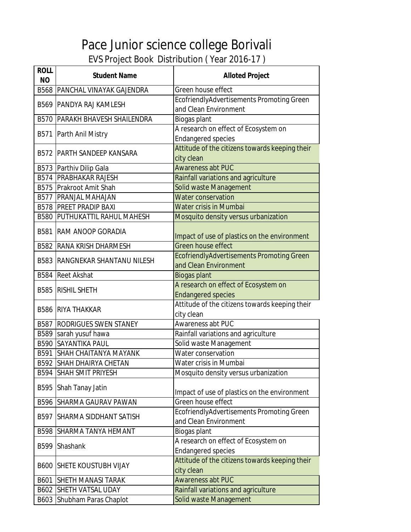| <b>ROLL</b><br><b>NO</b> | <b>Student Name</b>                     | <b>Alloted Project</b>                           |
|--------------------------|-----------------------------------------|--------------------------------------------------|
|                          | <b>B568 PANCHAL VINAYAK GAJENDRA</b>    | Green house effect                               |
|                          | <b>B569 PANDYA RAJ KAMLESH</b>          | EcofriendlyAdvertisements Promoting Green        |
|                          |                                         | and Clean Environment                            |
|                          | <b>B570   PARAKH BHAVESH SHAILENDRA</b> | Biogas plant                                     |
|                          | B571 Parth Anil Mistry                  | A research on effect of Ecosystem on             |
|                          |                                         | <b>Endangered species</b>                        |
|                          | <b>B572   PARTH SANDEEP KANSARA</b>     | Attitude of the citizens towards keeping their   |
|                          |                                         | city clean                                       |
|                          | B573 Parthiv Dilip Gala                 | <b>Awareness abt PUC</b>                         |
|                          | <b>B574 PRABHAKAR RAJESH</b>            | Rainfall variations and agriculture              |
|                          | B575 Prakroot Amit Shah                 | Solid waste Management                           |
|                          | <b>B577 PRANJAL MAHAJAN</b>             | Water conservation                               |
|                          | <b>B578 PREET PRADIP BAXI</b>           | Water crisis in Mumbai                           |
|                          | <b>B580 PUTHUKATTIL RAHUL MAHESH</b>    | Mosquito density versus urbanization             |
|                          | <b>B581 RAM ANOOP GORADIA</b>           | Impact of use of plastics on the environment     |
|                          | <b>B582 RANA KRISH DHARMESH</b>         | Green house effect                               |
|                          |                                         | <b>EcofriendlyAdvertisements Promoting Green</b> |
|                          | <b>B583 RANGNEKAR SHANTANU NILESH</b>   | and Clean Environment                            |
| <b>B584</b>              | <b>Reet Akshat</b>                      | <b>Biogas plant</b>                              |
|                          |                                         | A research on effect of Ecosystem on             |
| <b>B585</b>              | <b>RISHIL SHETH</b>                     | <b>Endangered species</b>                        |
|                          | <b>B586 RIYA THAKKAR</b>                | Attitude of the citizens towards keeping their   |
|                          |                                         | city clean                                       |
|                          | <b>B587 RODRIGUES SWEN STANEY</b>       | Awareness abt PUC                                |
|                          | B589 sarah yusuf hawa                   | Rainfall variations and agriculture              |
|                          | <b>B590 SAYANTIKA PAUL</b>              | Solid waste Management                           |
| B591                     | <b>SHAH CHAITANYA MAYANK</b>            | Water conservation                               |
|                          | <b>B592 SHAH DHAIRYA CHETAN</b>         | Water crisis in Mumbai                           |
| B594                     | <b>SHAH SMIT PRIYESH</b>                | Mosquito density versus urbanization             |
| B595                     | Shah Tanay Jatin                        | Impact of use of plastics on the environment     |
| B596                     | <b>SHARMA GAURAV PAWAN</b>              | Green house effect                               |
|                          |                                         | EcofriendlyAdvertisements Promoting Green        |
| B597                     | <b>SHARMA SIDDHANT SATISH</b>           | and Clean Environment                            |
| B598                     | <b>SHARMA TANYA HEMANT</b>              | Biogas plant                                     |
|                          |                                         | A research on effect of Ecosystem on             |
| B599                     | Shashank                                | <b>Endangered species</b>                        |
|                          |                                         | Attitude of the citizens towards keeping their   |
| <b>B600</b>              | <b>SHETE KOUSTUBH VIJAY</b>             | city clean                                       |
| B601                     | <b>SHETH MANASI TARAK</b>               | <b>Awareness abt PUC</b>                         |
| B602                     | <b>SHETH VATSAL UDAY</b>                | Rainfall variations and agriculture              |
|                          | B603 Shubham Paras Chaplot              | Solid waste Management                           |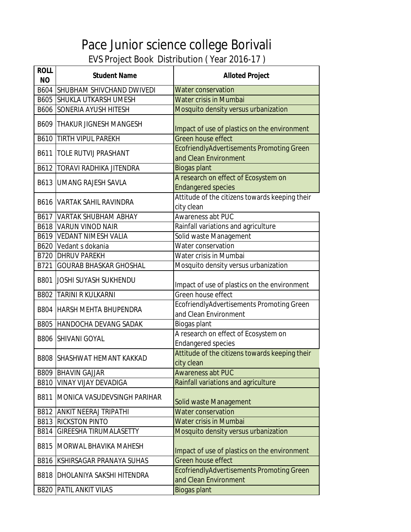| <b>ROLL</b><br><b>NO</b> | <b>Student Name</b>                   | <b>Alloted Project</b>                                             |
|--------------------------|---------------------------------------|--------------------------------------------------------------------|
|                          | <b>B604 SHUBHAM SHIVCHAND DWIVEDI</b> | <b>Water conservation</b>                                          |
|                          | <b>B605 SHUKLA UTKARSH UMESH</b>      | <b>Water crisis in Mumbai</b>                                      |
|                          | <b>B606 SONERIA AYUSH HITESH</b>      | Mosquito density versus urbanization                               |
|                          | <b>B609 THAKUR JIGNESH MANGESH</b>    | Impact of use of plastics on the environment                       |
|                          | <b>B610 TIRTH VIPUL PAREKH</b>        | Green house effect                                                 |
| B611                     | <b>TOLE RUTVIJ PRASHANT</b>           | EcofriendlyAdvertisements Promoting Green<br>and Clean Environment |
|                          | <b>B612   TORAVI RADHIKA JITENDRA</b> | Biogas plant                                                       |
|                          | <b>B613 JUMANG RAJESH SAVLA</b>       | A research on effect of Ecosystem on<br><b>Endangered species</b>  |
|                          | <b>B616 VARTAK SAHIL RAVINDRA</b>     | Attitude of the citizens towards keeping their<br>city clean       |
|                          | <b>B617 VARTAK SHUBHAM ABHAY</b>      | Awareness abt PUC                                                  |
|                          | <b>B618 VARUN VINOD NAIR</b>          | Rainfall variations and agriculture                                |
|                          | <b>B619 VEDANT NIMESH VALIA</b>       | Solid waste Management                                             |
|                          | B620 Vedant s dokania                 | Water conservation                                                 |
|                          | <b>B720 DHRUV PAREKH</b>              | Water crisis in Mumbai                                             |
| B721                     | <b>GOURAB BHASKAR GHOSHAL</b>         | Mosquito density versus urbanization                               |
|                          | <b>B801 JOSHI SUYASH SUKHENDU</b>     | Impact of use of plastics on the environment                       |
|                          | <b>B802 TARINI R KULKARNI</b>         | Green house effect                                                 |
|                          | <b>B804 HARSH MEHTA BHUPENDRA</b>     | EcofriendlyAdvertisements Promoting Green<br>and Clean Environment |
| <b>B805</b>              | <b>HANDOCHA DEVANG SADAK</b>          | Biogas plant                                                       |
|                          | <b>B806 SHIVANI GOYAL</b>             | A research on effect of Ecosystem on<br><b>Endangered species</b>  |
|                          | <b>B808 SHASHWAT HEMANT KAKKAD</b>    | Attitude of the citizens towards keeping their<br>city clean       |
|                          | <b>B809 BHAVIN GAJJAR</b>             | <b>Awareness abt PUC</b>                                           |
|                          | <b>B810 VINAY VIJAY DEVADIGA</b>      | Rainfall variations and agriculture                                |
| B811                     | MONICA VASUDEVSINGH PARIHAR           | Solid waste Management                                             |
|                          | <b>B812 ANKIT NEERAJ TRIPATHI</b>     | Water conservation                                                 |
|                          | <b>B813 RICKSTON PINTO</b>            | Water crisis in Mumbai                                             |
|                          | <b>B814 GIREESHA TIRUMALASETTY</b>    | Mosquito density versus urbanization                               |
| B815                     | MORWAL BHAVIKA MAHESH                 | Impact of use of plastics on the environment                       |
| B816                     | KSHIRSAGAR PRANAYA SUHAS              | Green house effect                                                 |
| <b>B818</b>              | <b>DHOLANIYA SAKSHI HITENDRA</b>      | EcofriendlyAdvertisements Promoting Green<br>and Clean Environment |
|                          | <b>B820 PATIL ANKIT VILAS</b>         | <b>Biogas plant</b>                                                |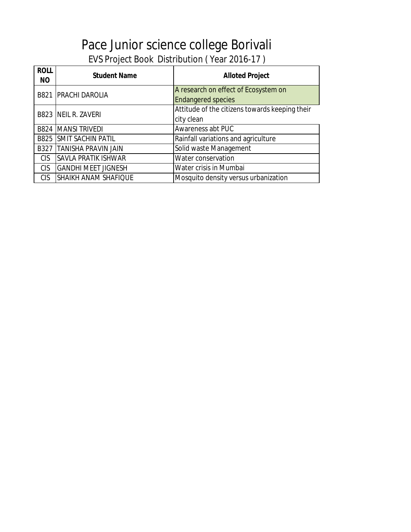| <b>ROLL</b><br><b>NO</b> | <b>Student Name</b>             | <b>Alloted Project</b>                                            |
|--------------------------|---------------------------------|-------------------------------------------------------------------|
|                          | <b>B821 PRACHI DAROLIA</b>      | A research on effect of Ecosystem on<br><b>Endangered species</b> |
|                          | <b>B823 NEIL R. ZAVERI</b>      | Attitude of the citizens towards keeping their<br>city clean      |
|                          | <b>B824 MANSI TRIVEDI</b>       | Awareness abt PUC                                                 |
|                          | <b>B825 SMIT SACHIN PATIL</b>   | Rainfall variations and agriculture                               |
|                          | <b>B327 TANISHA PRAVIN JAIN</b> | Solid waste Management                                            |
| <b>CIS</b>               | <b>SAVLA PRATIK ISHWAR</b>      | Water conservation                                                |
| <b>CIS</b>               | <b>GANDHI MEET JIGNESH</b>      | Water crisis in Mumbai                                            |
| <b>CIS</b>               | <b>SHAIKH ANAM SHAFIQUE</b>     | Mosquito density versus urbanization                              |